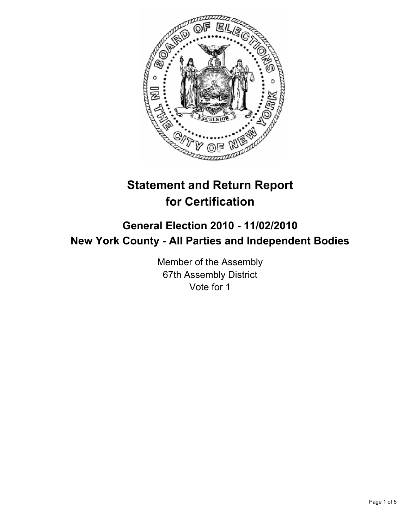

# **Statement and Return Report for Certification**

# **General Election 2010 - 11/02/2010 New York County - All Parties and Independent Bodies**

Member of the Assembly 67th Assembly District Vote for 1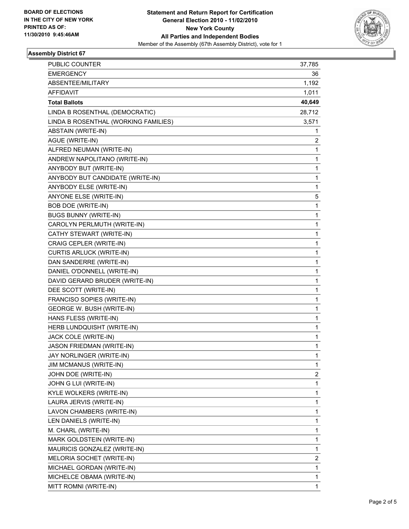

## **Assembly District 67**

| <b>PUBLIC COUNTER</b>                | 37,785         |
|--------------------------------------|----------------|
| <b>EMERGENCY</b>                     | 36             |
| ABSENTEE/MILITARY                    | 1,192          |
| <b>AFFIDAVIT</b>                     | 1,011          |
| <b>Total Ballots</b>                 | 40,649         |
| LINDA B ROSENTHAL (DEMOCRATIC)       | 28,712         |
| LINDA B ROSENTHAL (WORKING FAMILIES) | 3,571          |
| <b>ABSTAIN (WRITE-IN)</b>            | 1              |
| AGUE (WRITE-IN)                      | 2              |
| ALFRED NEUMAN (WRITE-IN)             | 1              |
| ANDREW NAPOLITANO (WRITE-IN)         | 1              |
| ANYBODY BUT (WRITE-IN)               | 1              |
| ANYBODY BUT CANDIDATE (WRITE-IN)     | 1              |
| ANYBODY ELSE (WRITE-IN)              | 1              |
| ANYONE ELSE (WRITE-IN)               | 5              |
| <b>BOB DOE (WRITE-IN)</b>            | 1              |
| <b>BUGS BUNNY (WRITE-IN)</b>         | 1              |
| CAROLYN PERLMUTH (WRITE-IN)          | 1              |
| CATHY STEWART (WRITE-IN)             | 1              |
| CRAIG CEPLER (WRITE-IN)              | 1              |
| CURTIS ARLUCK (WRITE-IN)             | 1              |
| DAN SANDERRE (WRITE-IN)              | 1              |
| DANIEL O'DONNELL (WRITE-IN)          | 1              |
| DAVID GERARD BRUDER (WRITE-IN)       | 1              |
| DEE SCOTT (WRITE-IN)                 | 1              |
| FRANCISO SOPIES (WRITE-IN)           | 1              |
| GEORGE W. BUSH (WRITE-IN)            | 1              |
| HANS FLESS (WRITE-IN)                | 1              |
| HERB LUNDQUISHT (WRITE-IN)           | 1              |
| JACK COLE (WRITE-IN)                 | 1              |
| JASON FRIEDMAN (WRITE-IN)            | 1              |
| JAY NORLINGER (WRITE-IN)             | 1              |
| JIM MCMANUS (WRITE-IN)               | $\mathbf{1}$   |
| JOHN DOE (WRITE-IN)                  | 2              |
| JOHN G LUI (WRITE-IN)                | 1              |
| KYLE WOLKERS (WRITE-IN)              | 1              |
| LAURA JERVIS (WRITE-IN)              | $\mathbf{1}$   |
| LAVON CHAMBERS (WRITE-IN)            | 1              |
| LEN DANIELS (WRITE-IN)               | $\mathbf{1}$   |
| M. CHARL (WRITE-IN)                  | 1              |
| MARK GOLDSTEIN (WRITE-IN)            | 1              |
| MAURICIS GONZALEZ (WRITE-IN)         | 1              |
| MELORIA SOCHET (WRITE-IN)            | $\overline{c}$ |
| MICHAEL GORDAN (WRITE-IN)            | 1              |
| MICHELCE OBAMA (WRITE-IN)            | $\mathbf{1}$   |
| MITT ROMNI (WRITE-IN)                | 1              |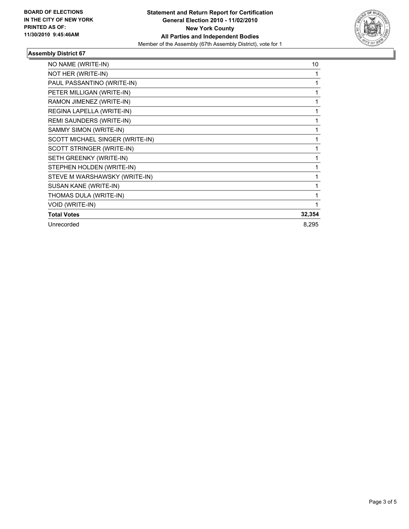

## **Assembly District 67**

| NO NAME (WRITE-IN)              | 10           |
|---------------------------------|--------------|
| NOT HER (WRITE-IN)              | 1            |
| PAUL PASSANTINO (WRITE-IN)      | 1            |
| PETER MILLIGAN (WRITE-IN)       | 1            |
| RAMON JIMENEZ (WRITE-IN)        | $\mathbf{1}$ |
| REGINA LAPELLA (WRITE-IN)       | 1            |
| REMI SAUNDERS (WRITE-IN)        |              |
| SAMMY SIMON (WRITE-IN)          |              |
| SCOTT MICHAEL SINGER (WRITE-IN) | 1            |
| SCOTT STRINGER (WRITE-IN)       | 1            |
| SETH GREENKY (WRITE-IN)         | 1            |
| STEPHEN HOLDEN (WRITE-IN)       | 1            |
| STEVE M WARSHAWSKY (WRITE-IN)   | 1            |
| SUSAN KANE (WRITE-IN)           | 1            |
| THOMAS DULA (WRITE-IN)          | 1            |
| VOID (WRITE-IN)                 | 1            |
| <b>Total Votes</b>              | 32,354       |
| Unrecorded                      | 8,295        |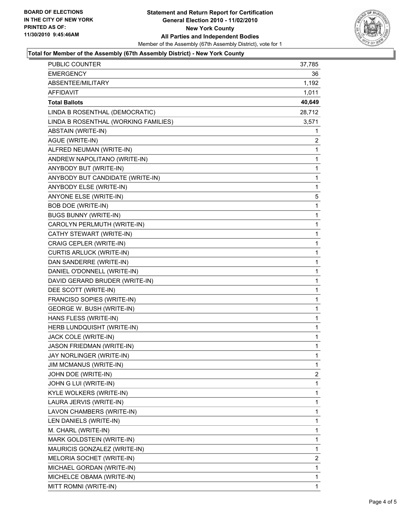

#### **Total for Member of the Assembly (67th Assembly District) - New York County**

| PUBLIC COUNTER                       | 37,785       |
|--------------------------------------|--------------|
| <b>EMERGENCY</b>                     | 36           |
| ABSENTEE/MILITARY                    | 1,192        |
| AFFIDAVIT                            | 1,011        |
| <b>Total Ballots</b>                 | 40,649       |
| LINDA B ROSENTHAL (DEMOCRATIC)       | 28,712       |
| LINDA B ROSENTHAL (WORKING FAMILIES) | 3,571        |
| ABSTAIN (WRITE-IN)                   | 1            |
| AGUE (WRITE-IN)                      | 2            |
| ALFRED NEUMAN (WRITE-IN)             | 1            |
| ANDREW NAPOLITANO (WRITE-IN)         | 1            |
| ANYBODY BUT (WRITE-IN)               | 1            |
| ANYBODY BUT CANDIDATE (WRITE-IN)     | 1            |
| ANYBODY ELSE (WRITE-IN)              | 1            |
| ANYONE ELSE (WRITE-IN)               | 5            |
| <b>BOB DOE (WRITE-IN)</b>            | 1            |
| <b>BUGS BUNNY (WRITE-IN)</b>         | 1            |
| CAROLYN PERLMUTH (WRITE-IN)          | 1            |
| CATHY STEWART (WRITE-IN)             | 1            |
| CRAIG CEPLER (WRITE-IN)              | 1            |
| <b>CURTIS ARLUCK (WRITE-IN)</b>      | $\mathbf{1}$ |
| DAN SANDERRE (WRITE-IN)              | 1            |
| DANIEL O'DONNELL (WRITE-IN)          | 1            |
| DAVID GERARD BRUDER (WRITE-IN)       | 1            |
| DEE SCOTT (WRITE-IN)                 | 1            |
| FRANCISO SOPIES (WRITE-IN)           | 1            |
| GEORGE W. BUSH (WRITE-IN)            | $\mathbf{1}$ |
| HANS FLESS (WRITE-IN)                | 1            |
| HERB LUNDQUISHT (WRITE-IN)           | 1            |
| JACK COLE (WRITE-IN)                 | $\mathbf{1}$ |
| JASON FRIEDMAN (WRITE-IN)            | 1            |
| JAY NORLINGER (WRITE-IN)             | 1            |
| <b>JIM MCMANUS (WRITE-IN)</b>        | 1            |
| JOHN DOE (WRITE-IN)                  | 2            |
| JOHN G LUI (WRITE-IN)                | 1            |
| KYLE WOLKERS (WRITE-IN)              | 1            |
| LAURA JERVIS (WRITE-IN)              | 1            |
| LAVON CHAMBERS (WRITE-IN)            | 1            |
| LEN DANIELS (WRITE-IN)               | 1            |
| M. CHARL (WRITE-IN)                  | 1            |
| MARK GOLDSTEIN (WRITE-IN)            | 1            |
| MAURICIS GONZALEZ (WRITE-IN)         | $\mathbf 1$  |
| MELORIA SOCHET (WRITE-IN)            | 2            |
| MICHAEL GORDAN (WRITE-IN)            | 1            |
| MICHELCE OBAMA (WRITE-IN)            | 1            |
| MITT ROMNI (WRITE-IN)                | 1            |